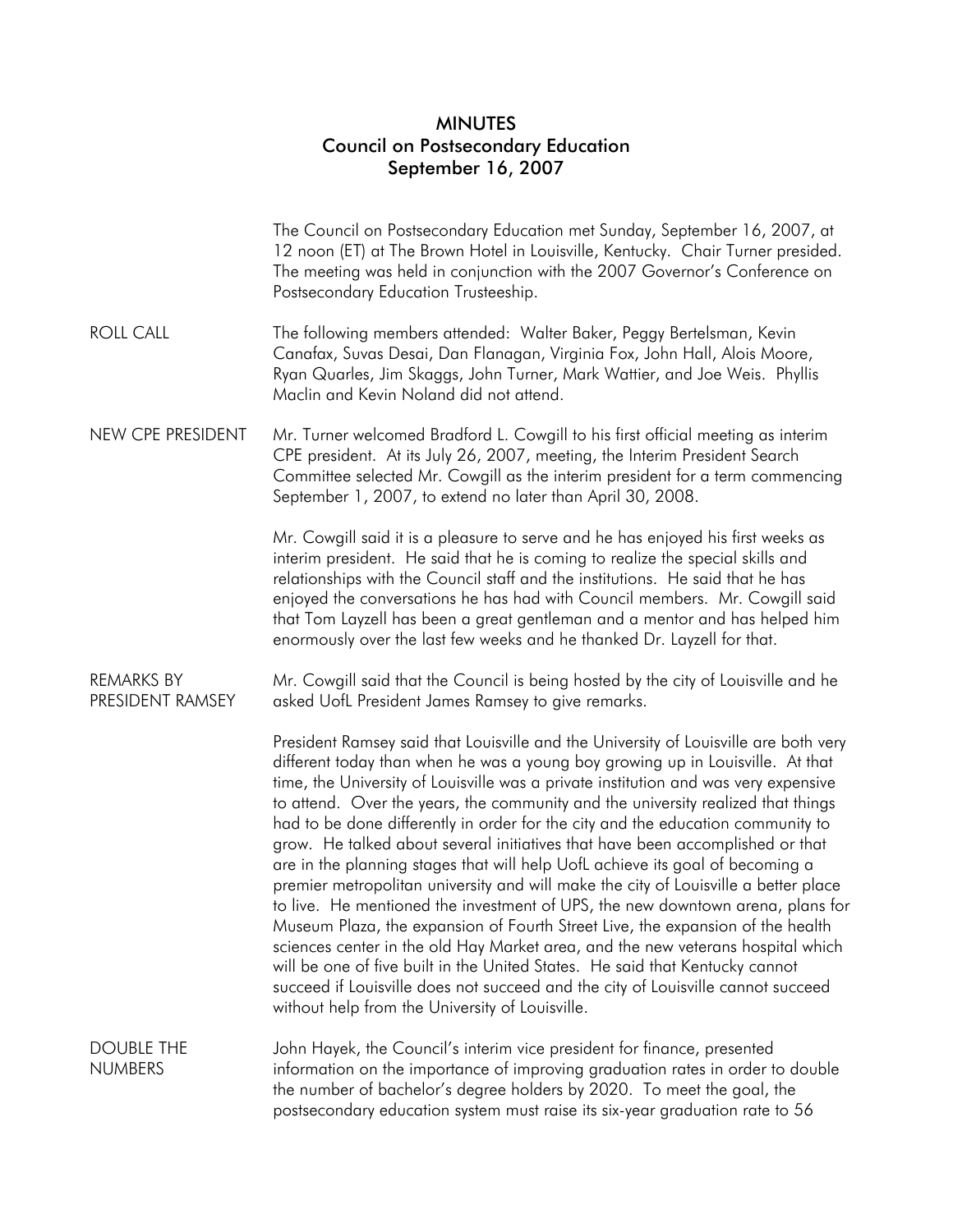## MINUTES Council on Postsecondary Education September 16, 2007

|                                       | The Council on Postsecondary Education met Sunday, September 16, 2007, at<br>12 noon (ET) at The Brown Hotel in Louisville, Kentucky. Chair Turner presided.<br>The meeting was held in conjunction with the 2007 Governor's Conference on<br>Postsecondary Education Trusteeship.                                                                                                                                                                                                                                                                                                                                                                                                                                                                                                                                                                                                                                                                                                                                                                                                                                                                                          |
|---------------------------------------|-----------------------------------------------------------------------------------------------------------------------------------------------------------------------------------------------------------------------------------------------------------------------------------------------------------------------------------------------------------------------------------------------------------------------------------------------------------------------------------------------------------------------------------------------------------------------------------------------------------------------------------------------------------------------------------------------------------------------------------------------------------------------------------------------------------------------------------------------------------------------------------------------------------------------------------------------------------------------------------------------------------------------------------------------------------------------------------------------------------------------------------------------------------------------------|
| <b>ROLL CALL</b>                      | The following members attended: Walter Baker, Peggy Bertelsman, Kevin<br>Canafax, Suvas Desai, Dan Flanagan, Virginia Fox, John Hall, Alois Moore,<br>Ryan Quarles, Jim Skaggs, John Turner, Mark Wattier, and Joe Weis. Phyllis<br>Maclin and Kevin Noland did not attend.                                                                                                                                                                                                                                                                                                                                                                                                                                                                                                                                                                                                                                                                                                                                                                                                                                                                                                 |
| NEW CPE PRESIDENT                     | Mr. Turner welcomed Bradford L. Cowgill to his first official meeting as interim<br>CPE president. At its July 26, 2007, meeting, the Interim President Search<br>Committee selected Mr. Cowgill as the interim president for a term commencing<br>September 1, 2007, to extend no later than April 30, 2008.                                                                                                                                                                                                                                                                                                                                                                                                                                                                                                                                                                                                                                                                                                                                                                                                                                                               |
|                                       | Mr. Cowgill said it is a pleasure to serve and he has enjoyed his first weeks as<br>interim president. He said that he is coming to realize the special skills and<br>relationships with the Council staff and the institutions. He said that he has<br>enjoyed the conversations he has had with Council members. Mr. Cowgill said<br>that Tom Layzell has been a great gentleman and a mentor and has helped him<br>enormously over the last few weeks and he thanked Dr. Layzell for that.                                                                                                                                                                                                                                                                                                                                                                                                                                                                                                                                                                                                                                                                               |
| <b>REMARKS BY</b><br>PRESIDENT RAMSEY | Mr. Cowgill said that the Council is being hosted by the city of Louisville and he<br>asked UofL President James Ramsey to give remarks.                                                                                                                                                                                                                                                                                                                                                                                                                                                                                                                                                                                                                                                                                                                                                                                                                                                                                                                                                                                                                                    |
|                                       | President Ramsey said that Louisville and the University of Louisville are both very<br>different today than when he was a young boy growing up in Louisville. At that<br>time, the University of Louisville was a private institution and was very expensive<br>to attend. Over the years, the community and the university realized that things<br>had to be done differently in order for the city and the education community to<br>grow. He talked about several initiatives that have been accomplished or that<br>are in the planning stages that will help UofL achieve its goal of becoming a<br>premier metropolitan university and will make the city of Louisville a better place<br>to live. He mentioned the investment of UPS, the new downtown arena, plans for<br>Museum Plaza, the expansion of Fourth Street Live, the expansion of the health<br>sciences center in the old Hay Market area, and the new veterans hospital which<br>will be one of five built in the United States. He said that Kentucky cannot<br>succeed if Louisville does not succeed and the city of Louisville cannot succeed<br>without help from the University of Louisville. |
| <b>DOUBLE THE</b><br><b>NUMBERS</b>   | John Hayek, the Council's interim vice president for finance, presented<br>information on the importance of improving graduation rates in order to double<br>the number of bachelor's degree holders by 2020. To meet the goal, the<br>postsecondary education system must raise its six-year graduation rate to 56                                                                                                                                                                                                                                                                                                                                                                                                                                                                                                                                                                                                                                                                                                                                                                                                                                                         |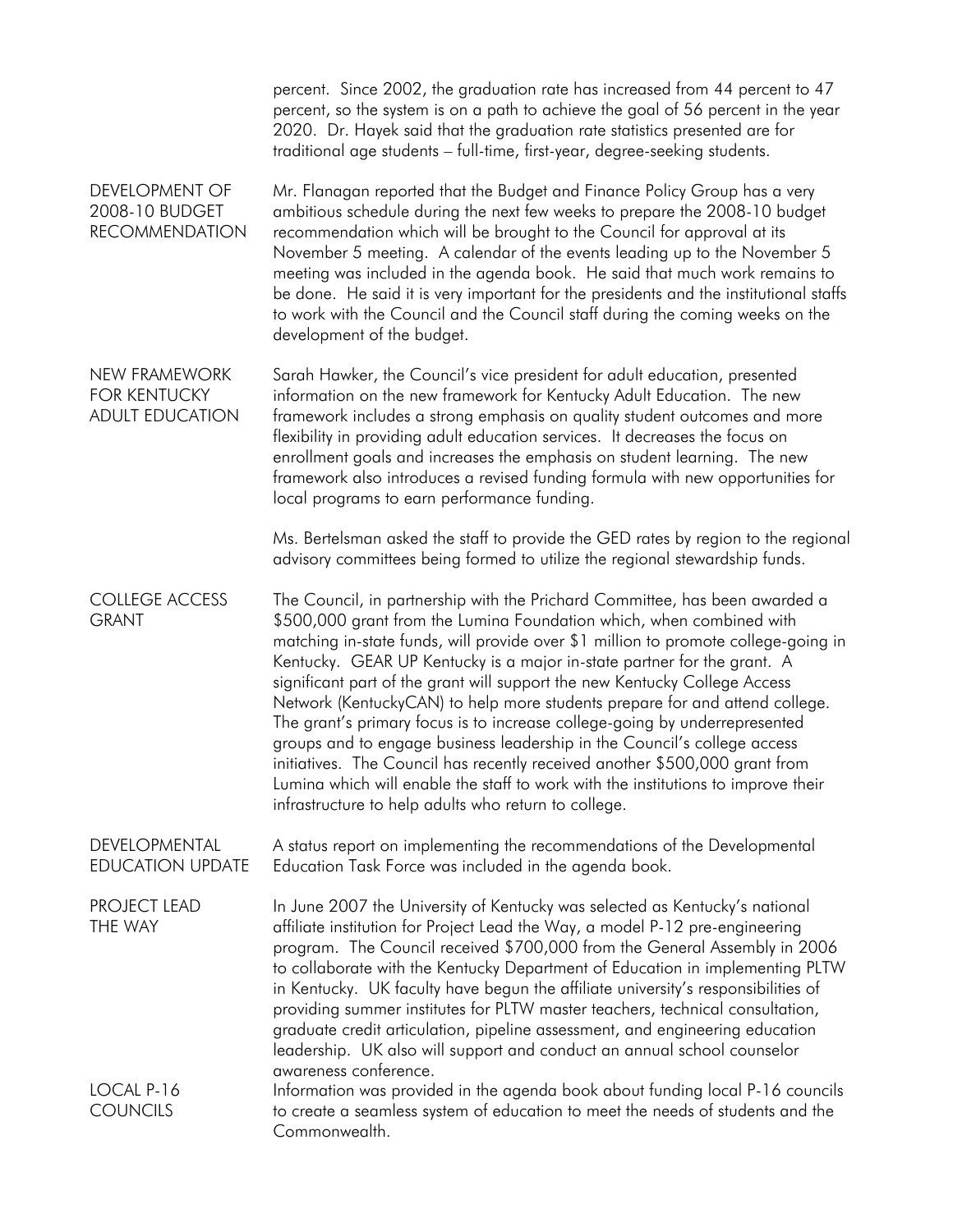|                                                                  | percent. Since 2002, the graduation rate has increased from 44 percent to 47<br>percent, so the system is on a path to achieve the goal of 56 percent in the year<br>2020. Dr. Hayek said that the graduation rate statistics presented are for<br>traditional age students - full-time, first-year, degree-seeking students.                                                                                                                                                                                                                                                                                                                                                                                                                                                                                                                                           |
|------------------------------------------------------------------|-------------------------------------------------------------------------------------------------------------------------------------------------------------------------------------------------------------------------------------------------------------------------------------------------------------------------------------------------------------------------------------------------------------------------------------------------------------------------------------------------------------------------------------------------------------------------------------------------------------------------------------------------------------------------------------------------------------------------------------------------------------------------------------------------------------------------------------------------------------------------|
| <b>DEVELOPMENT OF</b><br>2008-10 BUDGET<br><b>RECOMMENDATION</b> | Mr. Flanagan reported that the Budget and Finance Policy Group has a very<br>ambitious schedule during the next few weeks to prepare the 2008-10 budget<br>recommendation which will be brought to the Council for approval at its<br>November 5 meeting. A calendar of the events leading up to the November 5<br>meeting was included in the agenda book. He said that much work remains to<br>be done. He said it is very important for the presidents and the institutional staffs<br>to work with the Council and the Council staff during the coming weeks on the<br>development of the budget.                                                                                                                                                                                                                                                                   |
| NEW FRAMEWORK<br><b>FOR KENTUCKY</b><br><b>ADULT EDUCATION</b>   | Sarah Hawker, the Council's vice president for adult education, presented<br>information on the new framework for Kentucky Adult Education. The new<br>framework includes a strong emphasis on quality student outcomes and more<br>flexibility in providing adult education services. It decreases the focus on<br>enrollment goals and increases the emphasis on student learning. The new<br>framework also introduces a revised funding formula with new opportunities for<br>local programs to earn performance funding.                                                                                                                                                                                                                                                                                                                                           |
|                                                                  | Ms. Bertelsman asked the staff to provide the GED rates by region to the regional<br>advisory committees being formed to utilize the regional stewardship funds.                                                                                                                                                                                                                                                                                                                                                                                                                                                                                                                                                                                                                                                                                                        |
| <b>COLLEGE ACCESS</b><br><b>GRANT</b>                            | The Council, in partnership with the Prichard Committee, has been awarded a<br>\$500,000 grant from the Lumina Foundation which, when combined with<br>matching in-state funds, will provide over \$1 million to promote college-going in<br>Kentucky. GEAR UP Kentucky is a major in-state partner for the grant. A<br>significant part of the grant will support the new Kentucky College Access<br>Network (KentuckyCAN) to help more students prepare for and attend college.<br>The grant's primary focus is to increase college-going by underrepresented<br>groups and to engage business leadership in the Council's college access<br>initiatives. The Council has recently received another \$500,000 grant from<br>Lumina which will enable the staff to work with the institutions to improve their<br>infrastructure to help adults who return to college. |
| DEVELOPMENTAL<br><b>EDUCATION UPDATE</b>                         | A status report on implementing the recommendations of the Developmental<br>Education Task Force was included in the agenda book.                                                                                                                                                                                                                                                                                                                                                                                                                                                                                                                                                                                                                                                                                                                                       |
| <b>PROJECT LEAD</b><br>THE WAY                                   | In June 2007 the University of Kentucky was selected as Kentucky's national<br>affiliate institution for Project Lead the Way, a model P-12 pre-engineering<br>program. The Council received \$700,000 from the General Assembly in 2006<br>to collaborate with the Kentucky Department of Education in implementing PLTW<br>in Kentucky. UK faculty have begun the affiliate university's responsibilities of<br>providing summer institutes for PLTW master teachers, technical consultation,<br>graduate credit articulation, pipeline assessment, and engineering education<br>leadership. UK also will support and conduct an annual school counselor<br>awareness conference.                                                                                                                                                                                     |
| LOCAL P-16<br><b>COUNCILS</b>                                    | Information was provided in the agenda book about funding local P-16 councils<br>to create a seamless system of education to meet the needs of students and the<br>Commonwealth.                                                                                                                                                                                                                                                                                                                                                                                                                                                                                                                                                                                                                                                                                        |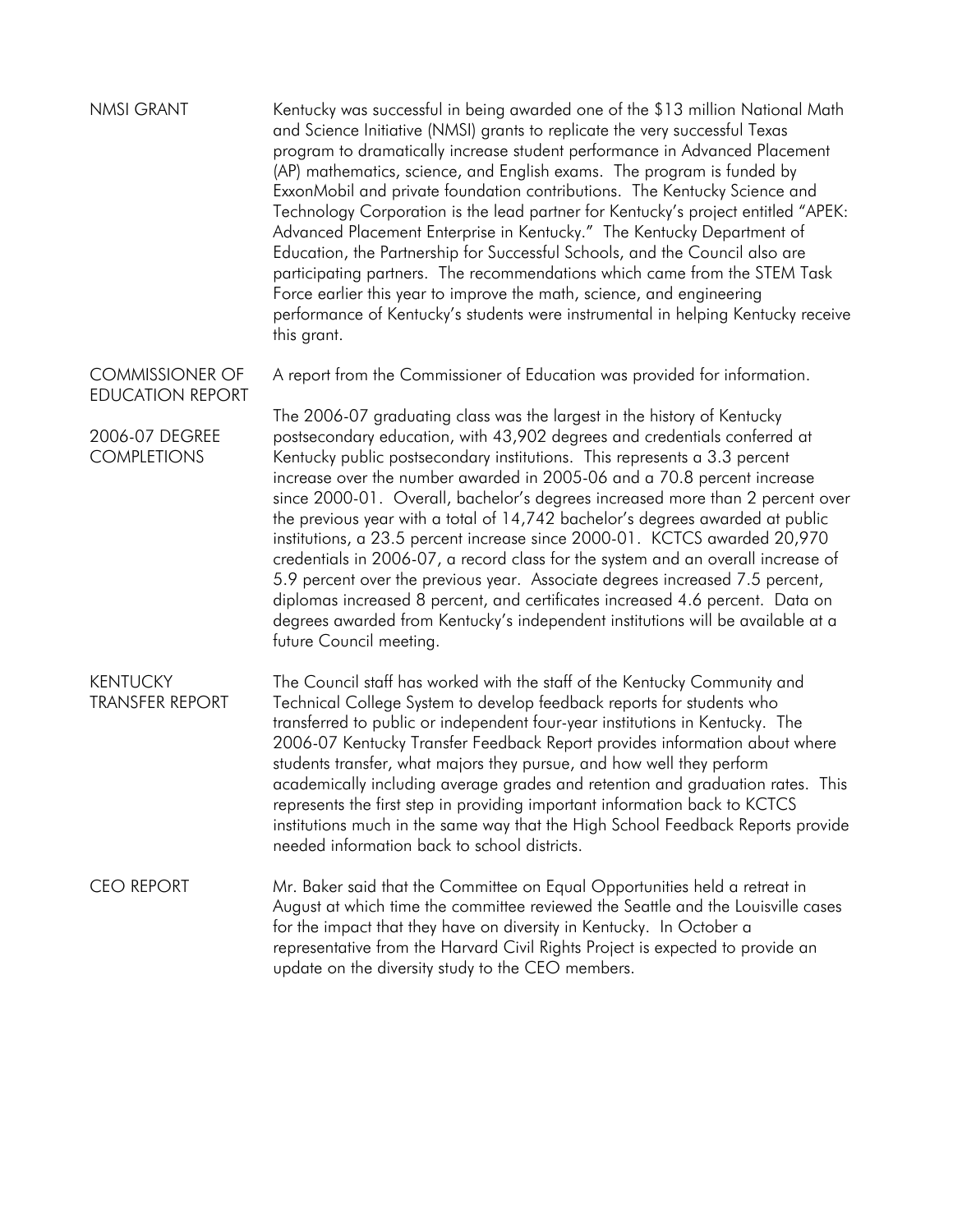| <b>NMSI GRANT</b>                                 | Kentucky was successful in being awarded one of the \$13 million National Math<br>and Science Initiative (NMSI) grants to replicate the very successful Texas<br>program to dramatically increase student performance in Advanced Placement<br>(AP) mathematics, science, and English exams. The program is funded by<br>ExxonMobil and private foundation contributions. The Kentucky Science and<br>Technology Corporation is the lead partner for Kentucky's project entitled "APEK:<br>Advanced Placement Enterprise in Kentucky." The Kentucky Department of<br>Education, the Partnership for Successful Schools, and the Council also are<br>participating partners. The recommendations which came from the STEM Task<br>Force earlier this year to improve the math, science, and engineering<br>performance of Kentucky's students were instrumental in helping Kentucky receive<br>this grant. |
|---------------------------------------------------|-----------------------------------------------------------------------------------------------------------------------------------------------------------------------------------------------------------------------------------------------------------------------------------------------------------------------------------------------------------------------------------------------------------------------------------------------------------------------------------------------------------------------------------------------------------------------------------------------------------------------------------------------------------------------------------------------------------------------------------------------------------------------------------------------------------------------------------------------------------------------------------------------------------|
| <b>COMMISSIONER OF</b><br><b>EDUCATION REPORT</b> | A report from the Commissioner of Education was provided for information.                                                                                                                                                                                                                                                                                                                                                                                                                                                                                                                                                                                                                                                                                                                                                                                                                                 |
|                                                   | The 2006-07 graduating class was the largest in the history of Kentucky                                                                                                                                                                                                                                                                                                                                                                                                                                                                                                                                                                                                                                                                                                                                                                                                                                   |
| 2006-07 DEGREE<br><b>COMPLETIONS</b>              | postsecondary education, with 43,902 degrees and credentials conferred at<br>Kentucky public postsecondary institutions. This represents a 3.3 percent<br>increase over the number awarded in 2005-06 and a 70.8 percent increase<br>since 2000-01. Overall, bachelor's degrees increased more than 2 percent over<br>the previous year with a total of 14,742 bachelor's degrees awarded at public<br>institutions, a 23.5 percent increase since 2000-01. KCTCS awarded 20,970<br>credentials in 2006-07, a record class for the system and an overall increase of<br>5.9 percent over the previous year. Associate degrees increased 7.5 percent,<br>diplomas increased 8 percent, and certificates increased 4.6 percent. Data on<br>degrees awarded from Kentucky's independent institutions will be available at a<br>future Council meeting.                                                       |
| <b>KENTUCKY</b><br><b>TRANSFER REPORT</b>         | The Council staff has worked with the staff of the Kentucky Community and<br>Technical College System to develop feedback reports for students who<br>transferred to public or independent four-year institutions in Kentucky. The<br>2006-07 Kentucky Transfer Feedback Report provides information about where<br>students transfer, what majors they pursue, and how well they perform<br>academically including average grades and retention and graduation rates. This<br>represents the first step in providing important information back to KCTCS<br>institutions much in the same way that the High School Feedback Reports provide<br>needed information back to school districts.                                                                                                                                                                                                              |
| <b>CEO REPORT</b>                                 | Mr. Baker said that the Committee on Equal Opportunities held a retreat in<br>August at which time the committee reviewed the Seattle and the Louisville cases<br>for the impact that they have on diversity in Kentucky. In October a<br>representative from the Harvard Civil Rights Project is expected to provide an<br>update on the diversity study to the CEO members.                                                                                                                                                                                                                                                                                                                                                                                                                                                                                                                             |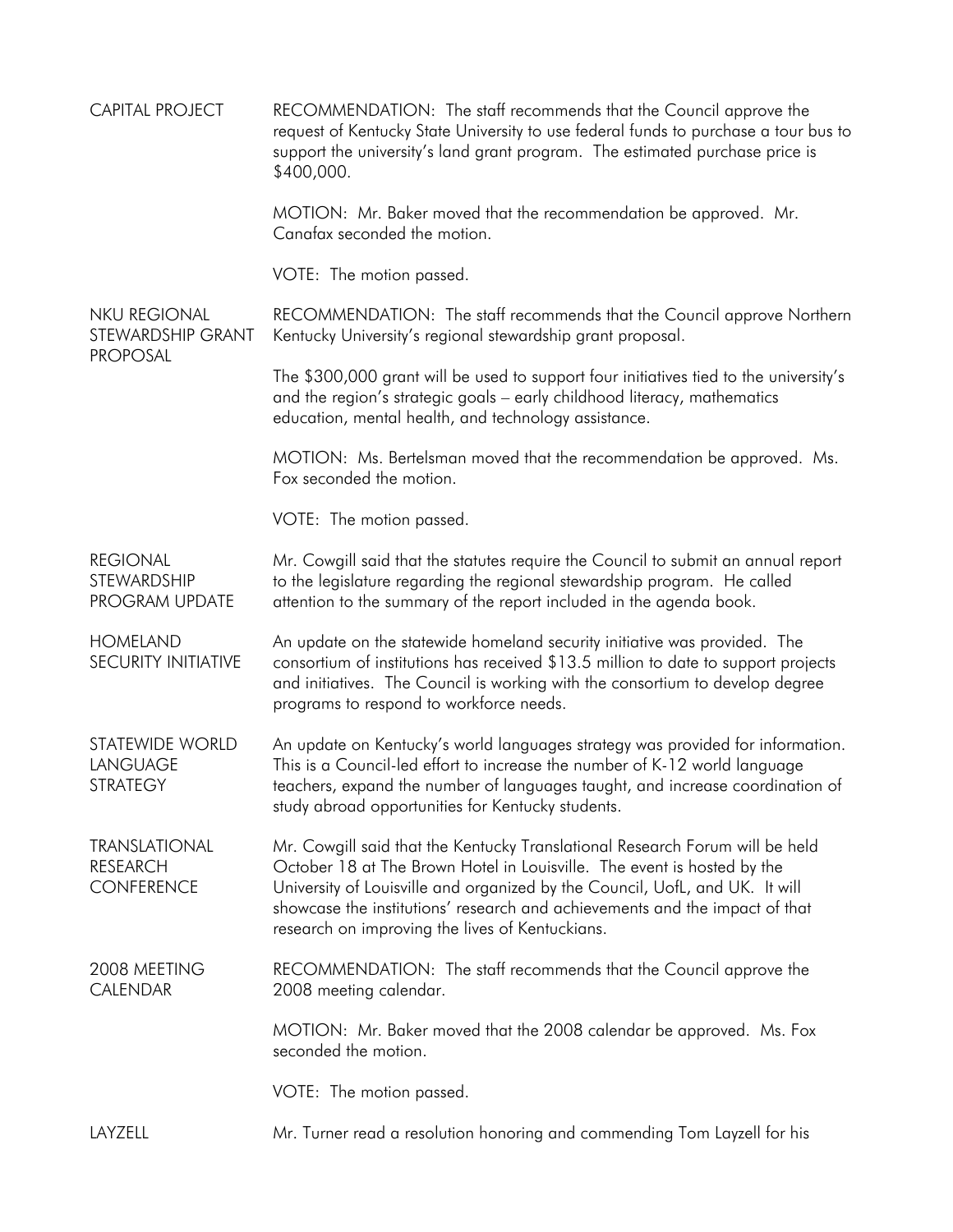| <b>CAPITAL PROJECT</b>                                       | RECOMMENDATION: The staff recommends that the Council approve the<br>request of Kentucky State University to use federal funds to purchase a tour bus to<br>support the university's land grant program. The estimated purchase price is<br>\$400,000.                                                                                                                    |
|--------------------------------------------------------------|---------------------------------------------------------------------------------------------------------------------------------------------------------------------------------------------------------------------------------------------------------------------------------------------------------------------------------------------------------------------------|
|                                                              | MOTION: Mr. Baker moved that the recommendation be approved. Mr.<br>Canafax seconded the motion.                                                                                                                                                                                                                                                                          |
|                                                              | VOTE: The motion passed.                                                                                                                                                                                                                                                                                                                                                  |
| <b>NKU REGIONAL</b><br>STEWARDSHIP GRANT<br><b>PROPOSAL</b>  | RECOMMENDATION: The staff recommends that the Council approve Northern<br>Kentucky University's regional stewardship grant proposal.                                                                                                                                                                                                                                      |
|                                                              | The \$300,000 grant will be used to support four initiatives tied to the university's<br>and the region's strategic goals - early childhood literacy, mathematics<br>education, mental health, and technology assistance.                                                                                                                                                 |
|                                                              | MOTION: Ms. Bertelsman moved that the recommendation be approved. Ms.<br>Fox seconded the motion.                                                                                                                                                                                                                                                                         |
|                                                              | VOTE: The motion passed.                                                                                                                                                                                                                                                                                                                                                  |
| <b>REGIONAL</b><br>STEWARDSHIP<br>PROGRAM UPDATE             | Mr. Cowgill said that the statutes require the Council to submit an annual report<br>to the legislature regarding the regional stewardship program. He called<br>attention to the summary of the report included in the agenda book.                                                                                                                                      |
| <b>HOMELAND</b><br><b>SECURITY INITIATIVE</b>                | An update on the statewide homeland security initiative was provided. The<br>consortium of institutions has received \$13.5 million to date to support projects<br>and initiatives. The Council is working with the consortium to develop degree<br>programs to respond to workforce needs.                                                                               |
| <b>STATEWIDE WORLD</b><br>LANGUAGE<br><b>STRATEGY</b>        | An update on Kentucky's world languages strategy was provided for information.<br>This is a Council-led effort to increase the number of K-12 world language<br>teachers, expand the number of languages taught, and increase coordination of<br>study abroad opportunities for Kentucky students.                                                                        |
| <b>TRANSLATIONAL</b><br><b>RESEARCH</b><br><b>CONFERENCE</b> | Mr. Cowgill said that the Kentucky Translational Research Forum will be held<br>October 18 at The Brown Hotel in Louisville. The event is hosted by the<br>University of Louisville and organized by the Council, UofL, and UK. It will<br>showcase the institutions' research and achievements and the impact of that<br>research on improving the lives of Kentuckians. |
| 2008 MEETING<br><b>CALENDAR</b>                              | RECOMMENDATION: The staff recommends that the Council approve the<br>2008 meeting calendar.                                                                                                                                                                                                                                                                               |
|                                                              | MOTION: Mr. Baker moved that the 2008 calendar be approved. Ms. Fox<br>seconded the motion.                                                                                                                                                                                                                                                                               |
|                                                              | VOTE: The motion passed.                                                                                                                                                                                                                                                                                                                                                  |
| LAYZELL                                                      | Mr. Turner read a resolution honoring and commending Tom Layzell for his                                                                                                                                                                                                                                                                                                  |